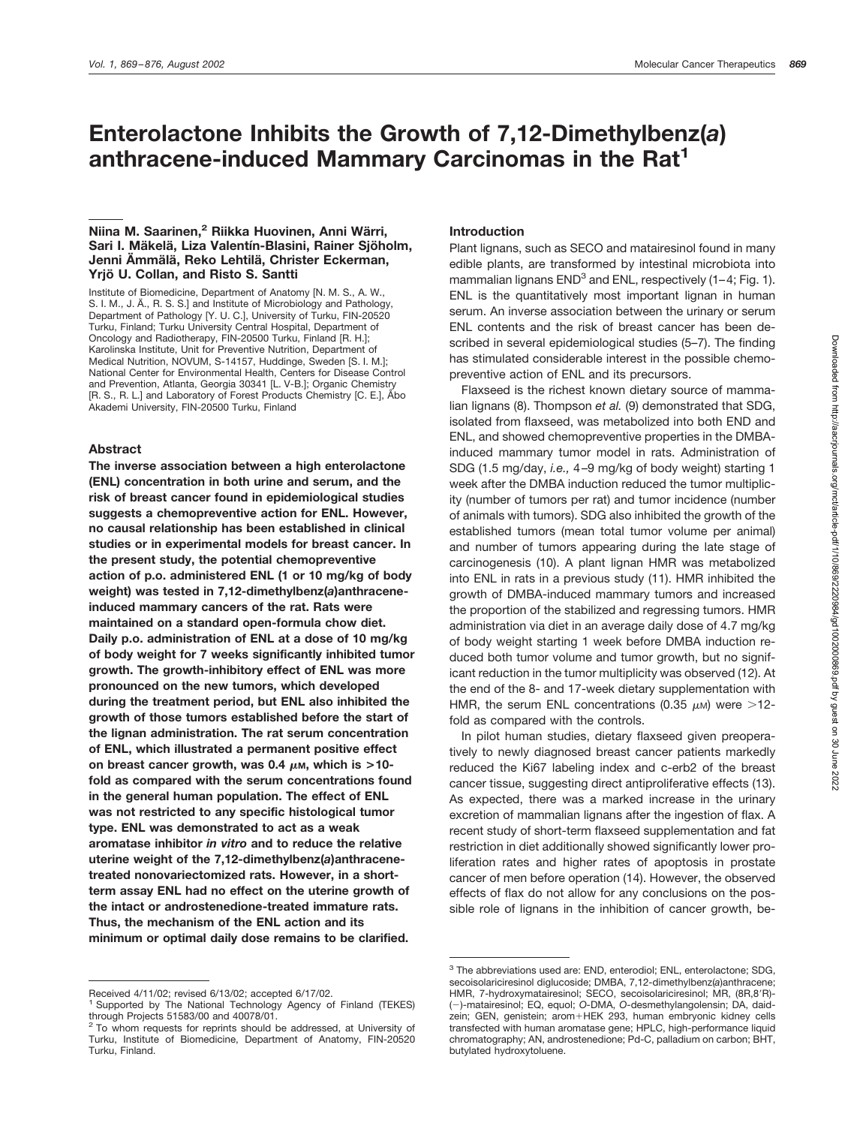# **Enterolactone Inhibits the Growth of 7,12-Dimethylbenz(***a***) anthracene-induced Mammary Carcinomas in the Rat1**

## **Niina M. Saarinen,<sup>2</sup> Riikka Huovinen, Anni Wärri,** Sari I. Mäkelä, Liza Valentín-Blasini, Rainer Sjöholm, **Jenni A¨ mma¨ la¨ , Reko Lehtila¨ , Christer Eckerman, Yrjo¨ U. Collan, and Risto S. Santti**

Institute of Biomedicine, Department of Anatomy [N. M. S., A. W., S. I. M., J. Ä., R. S. S.] and Institute of Microbiology and Pathology, Department of Pathology [Y. U. C.], University of Turku, FIN-20520 Turku, Finland; Turku University Central Hospital, Department of Oncology and Radiotherapy, FIN-20500 Turku, Finland [R. H.]; Karolinska Institute, Unit for Preventive Nutrition, Department of Medical Nutrition, NOVUM, S-14157, Huddinge, Sweden [S. I. M.]; National Center for Environmental Health, Centers for Disease Control and Prevention, Atlanta, Georgia 30341 [L. V-B.]; Organic Chemistry [R. S., R. L.] and Laboratory of Forest Products Chemistry [C. E.], Åbo Akademi University, FIN-20500 Turku, Finland

#### **Abstract**

**The inverse association between a high enterolactone (ENL) concentration in both urine and serum, and the risk of breast cancer found in epidemiological studies suggests a chemopreventive action for ENL. However, no causal relationship has been established in clinical studies or in experimental models for breast cancer. In the present study, the potential chemopreventive action of p.o. administered ENL (1 or 10 mg/kg of body weight) was tested in 7,12-dimethylbenz(***a***)anthraceneinduced mammary cancers of the rat. Rats were maintained on a standard open-formula chow diet. Daily p.o. administration of ENL at a dose of 10 mg/kg of body weight for 7 weeks significantly inhibited tumor growth. The growth-inhibitory effect of ENL was more pronounced on the new tumors, which developed during the treatment period, but ENL also inhibited the growth of those tumors established before the start of the lignan administration. The rat serum concentration of ENL, which illustrated a permanent positive effect** on breast cancer growth, was 0.4  $\mu$ m, which is >10**fold as compared with the serum concentrations found in the general human population. The effect of ENL was not restricted to any specific histological tumor type. ENL was demonstrated to act as a weak aromatase inhibitor** *in vitro* **and to reduce the relative uterine weight of the 7,12-dimethylbenz(***a***)anthracenetreated nonovariectomized rats. However, in a shortterm assay ENL had no effect on the uterine growth of the intact or androstenedione-treated immature rats. Thus, the mechanism of the ENL action and its minimum or optimal daily dose remains to be clarified.**

## **Introduction**

Plant lignans, such as SECO and matairesinol found in many edible plants, are transformed by intestinal microbiota into mammalian lignans  $END<sup>3</sup>$  and  $ENL$ , respectively (1–4; Fig. 1). ENL is the quantitatively most important lignan in human serum. An inverse association between the urinary or serum ENL contents and the risk of breast cancer has been described in several epidemiological studies (5–7). The finding has stimulated considerable interest in the possible chemopreventive action of ENL and its precursors.

Flaxseed is the richest known dietary source of mammalian lignans (8). Thompson *et al.* (9) demonstrated that SDG, isolated from flaxseed, was metabolized into both END and ENL, and showed chemopreventive properties in the DMBAinduced mammary tumor model in rats. Administration of SDG (1.5 mg/day, *i.e.,* 4–9 mg/kg of body weight) starting 1 week after the DMBA induction reduced the tumor multiplicity (number of tumors per rat) and tumor incidence (number of animals with tumors). SDG also inhibited the growth of the established tumors (mean total tumor volume per animal) and number of tumors appearing during the late stage of carcinogenesis (10). A plant lignan HMR was metabolized into ENL in rats in a previous study (11). HMR inhibited the growth of DMBA-induced mammary tumors and increased the proportion of the stabilized and regressing tumors. HMR administration via diet in an average daily dose of 4.7 mg/kg of body weight starting 1 week before DMBA induction reduced both tumor volume and tumor growth, but no significant reduction in the tumor multiplicity was observed (12). At the end of the 8- and 17-week dietary supplementation with HMR, the serum ENL concentrations (0.35  $\mu$ M) were >12fold as compared with the controls.

In pilot human studies, dietary flaxseed given preoperatively to newly diagnosed breast cancer patients markedly reduced the Ki67 labeling index and c-erb2 of the breast cancer tissue, suggesting direct antiproliferative effects (13). As expected, there was a marked increase in the urinary excretion of mammalian lignans after the ingestion of flax. A recent study of short-term flaxseed supplementation and fat restriction in diet additionally showed significantly lower proliferation rates and higher rates of apoptosis in prostate cancer of men before operation (14). However, the observed effects of flax do not allow for any conclusions on the possible role of lignans in the inhibition of cancer growth, be-

Received 4/11/02; revised 6/13/02; accepted 6/17/02.

Supported by The National Technology Agency of Finland (TEKES) through Projects 51583/00 and 40078/01.

 $2$  To whom requests for reprints should be addressed, at University of Turku, Institute of Biomedicine, Department of Anatomy, FIN-20520 Turku, Finland.

<sup>3</sup> The abbreviations used are: END, enterodiol; ENL, enterolactone; SDG, secoisolariciresinol diglucoside; DMBA, 7,12-dimethylbenz(*a*)anthracene; HMR, 7-hydroxymatairesinol; SECO, secoisolariciresinol; MR, (8R,8'R)-()-matairesinol; EQ, equol; *O-*DMA, *O-*desmethylangolensin; DA, daidzein; GEN, genistein; arom+HEK 293, human embryonic kidney cells transfected with human aromatase gene; HPLC, high-performance liquid chromatography; AN, androstenedione; Pd-C, palladium on carbon; BHT, butylated hydroxytoluene.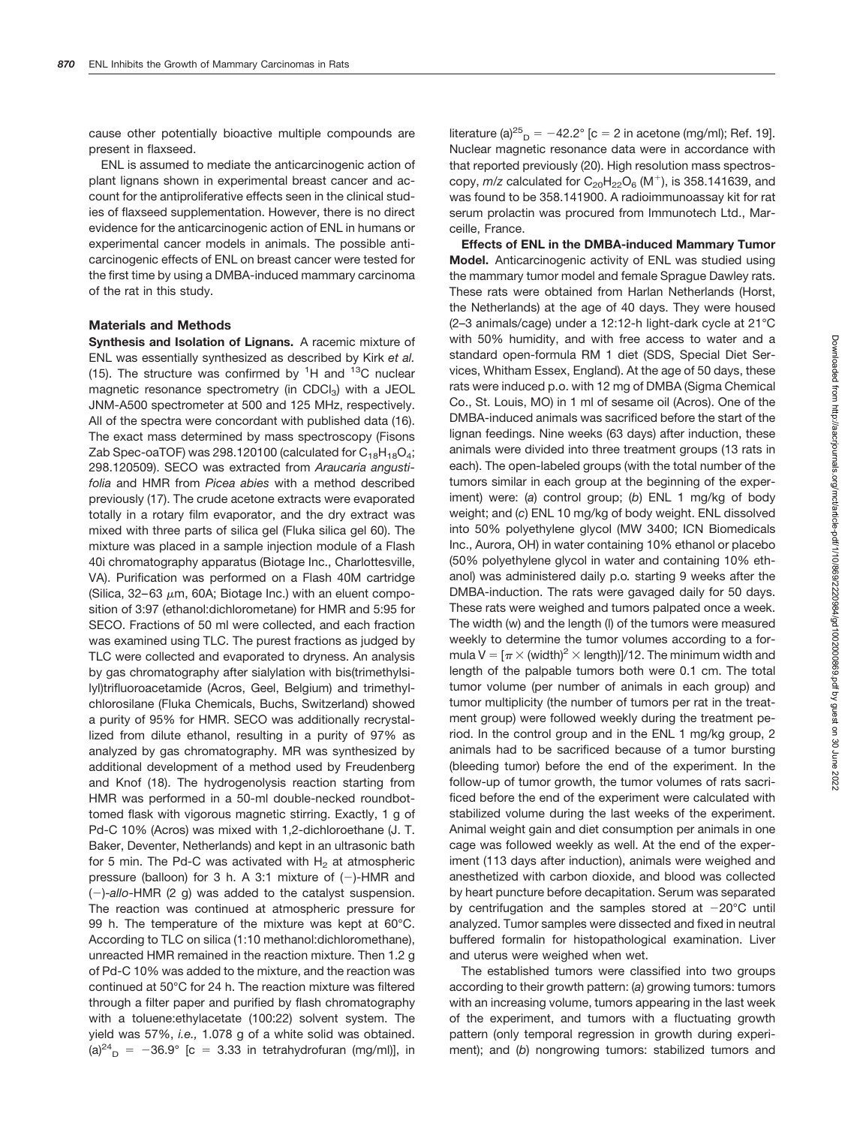cause other potentially bioactive multiple compounds are present in flaxseed.

ENL is assumed to mediate the anticarcinogenic action of plant lignans shown in experimental breast cancer and account for the antiproliferative effects seen in the clinical studies of flaxseed supplementation. However, there is no direct evidence for the anticarcinogenic action of ENL in humans or experimental cancer models in animals. The possible anticarcinogenic effects of ENL on breast cancer were tested for the first time by using a DMBA-induced mammary carcinoma of the rat in this study.

#### **Materials and Methods**

**Synthesis and Isolation of Lignans.** A racemic mixture of ENL was essentially synthesized as described by Kirk *et al.* (15). The structure was confirmed by  ${}^{1}H$  and  ${}^{13}C$  nuclear magnetic resonance spectrometry (in CDCl<sub>3</sub>) with a JEOL JNM-A500 spectrometer at 500 and 125 MHz, respectively. All of the spectra were concordant with published data (16). The exact mass determined by mass spectroscopy (Fisons Zab Spec-oaTOF) was 298.120100 (calculated for  $C_{18}H_{18}O_4$ ; 298.120509). SECO was extracted from *Araucaria angustifolia* and HMR from *Picea abies* with a method described previously (17). The crude acetone extracts were evaporated totally in a rotary film evaporator, and the dry extract was mixed with three parts of silica gel (Fluka silica gel 60). The mixture was placed in a sample injection module of a Flash 40i chromatography apparatus (Biotage Inc., Charlottesville, VA). Purification was performed on a Flash 40M cartridge (Silica, 32–63  $\mu$ m, 60A; Biotage Inc.) with an eluent composition of 3:97 (ethanol:dichlorometane) for HMR and 5:95 for SECO. Fractions of 50 ml were collected, and each fraction was examined using TLC. The purest fractions as judged by TLC were collected and evaporated to dryness. An analysis by gas chromatography after sialylation with bis(trimethylsilyl)trifluoroacetamide (Acros, Geel, Belgium) and trimethylchlorosilane (Fluka Chemicals, Buchs, Switzerland) showed a purity of 95% for HMR. SECO was additionally recrystallized from dilute ethanol, resulting in a purity of 97% as analyzed by gas chromatography. MR was synthesized by additional development of a method used by Freudenberg and Knof (18). The hydrogenolysis reaction starting from HMR was performed in a 50-ml double-necked roundbottomed flask with vigorous magnetic stirring. Exactly, 1 g of Pd-C 10% (Acros) was mixed with 1,2-dichloroethane (J. T. Baker, Deventer, Netherlands) and kept in an ultrasonic bath for 5 min. The Pd-C was activated with  $H_2$  at atmospheric pressure (balloon) for 3 h. A 3:1 mixture of  $(-)$ -HMR and ()-*allo*-HMR (2 g) was added to the catalyst suspension. The reaction was continued at atmospheric pressure for 99 h. The temperature of the mixture was kept at 60°C. According to TLC on silica (1:10 methanol:dichloromethane), unreacted HMR remained in the reaction mixture. Then 1.2 g of Pd-C 10% was added to the mixture, and the reaction was continued at 50°C for 24 h. The reaction mixture was filtered through a filter paper and purified by flash chromatography with a toluene:ethylacetate (100:22) solvent system. The yield was 57%, *i.e.,* 1.078 g of a white solid was obtained. (a)<sup>24</sup><sub>D</sub> = -36.9° [c = 3.33 in tetrahydrofuran (mg/ml)], in

literature (a)<sup>25</sup><sub>D</sub> = -42.2° [c = 2 in acetone (mg/ml); Ref. 19]. Nuclear magnetic resonance data were in accordance with that reported previously (20). High resolution mass spectroscopy,  $m/z$  calculated for  $C_{20}H_{22}O_6$  (M<sup>+</sup>), is 358.141639, and was found to be 358.141900. A radioimmunoassay kit for rat serum prolactin was procured from Immunotech Ltd., Marceille, France.

**Effects of ENL in the DMBA-induced Mammary Tumor Model.** Anticarcinogenic activity of ENL was studied using the mammary tumor model and female Sprague Dawley rats. These rats were obtained from Harlan Netherlands (Horst, the Netherlands) at the age of 40 days. They were housed (2–3 animals/cage) under a 12:12-h light-dark cycle at 21°C with 50% humidity, and with free access to water and a standard open-formula RM 1 diet (SDS, Special Diet Services, Whitham Essex, England). At the age of 50 days, these rats were induced p.o. with 12 mg of DMBA (Sigma Chemical Co., St. Louis, MO) in 1 ml of sesame oil (Acros). One of the DMBA-induced animals was sacrificed before the start of the lignan feedings. Nine weeks (63 days) after induction, these animals were divided into three treatment groups (13 rats in each). The open-labeled groups (with the total number of the tumors similar in each group at the beginning of the experiment) were: (*a*) control group; (*b*) ENL 1 mg/kg of body weight; and (*c*) ENL 10 mg/kg of body weight. ENL dissolved into 50% polyethylene glycol (MW 3400; ICN Biomedicals Inc., Aurora, OH) in water containing 10% ethanol or placebo (50% polyethylene glycol in water and containing 10% ethanol) was administered daily p.o*.* starting 9 weeks after the DMBA-induction. The rats were gavaged daily for 50 days. These rats were weighed and tumors palpated once a week. The width (w) and the length (l) of the tumors were measured weekly to determine the tumor volumes according to a formula V = [ $\pi$   $\times$  (width) $^2$   $\times$  length)]/12. The minimum width and length of the palpable tumors both were 0.1 cm. The total tumor volume (per number of animals in each group) and tumor multiplicity (the number of tumors per rat in the treatment group) were followed weekly during the treatment period. In the control group and in the ENL 1 mg/kg group, 2 animals had to be sacrificed because of a tumor bursting (bleeding tumor) before the end of the experiment. In the follow-up of tumor growth, the tumor volumes of rats sacrificed before the end of the experiment were calculated with stabilized volume during the last weeks of the experiment. Animal weight gain and diet consumption per animals in one cage was followed weekly as well. At the end of the experiment (113 days after induction), animals were weighed and anesthetized with carbon dioxide, and blood was collected by heart puncture before decapitation. Serum was separated by centrifugation and the samples stored at  $-20^{\circ}$ C until analyzed. Tumor samples were dissected and fixed in neutral buffered formalin for histopathological examination. Liver and uterus were weighed when wet.

The established tumors were classified into two groups according to their growth pattern: (*a*) growing tumors: tumors with an increasing volume, tumors appearing in the last week of the experiment, and tumors with a fluctuating growth pattern (only temporal regression in growth during experiment); and (*b*) nongrowing tumors: stabilized tumors and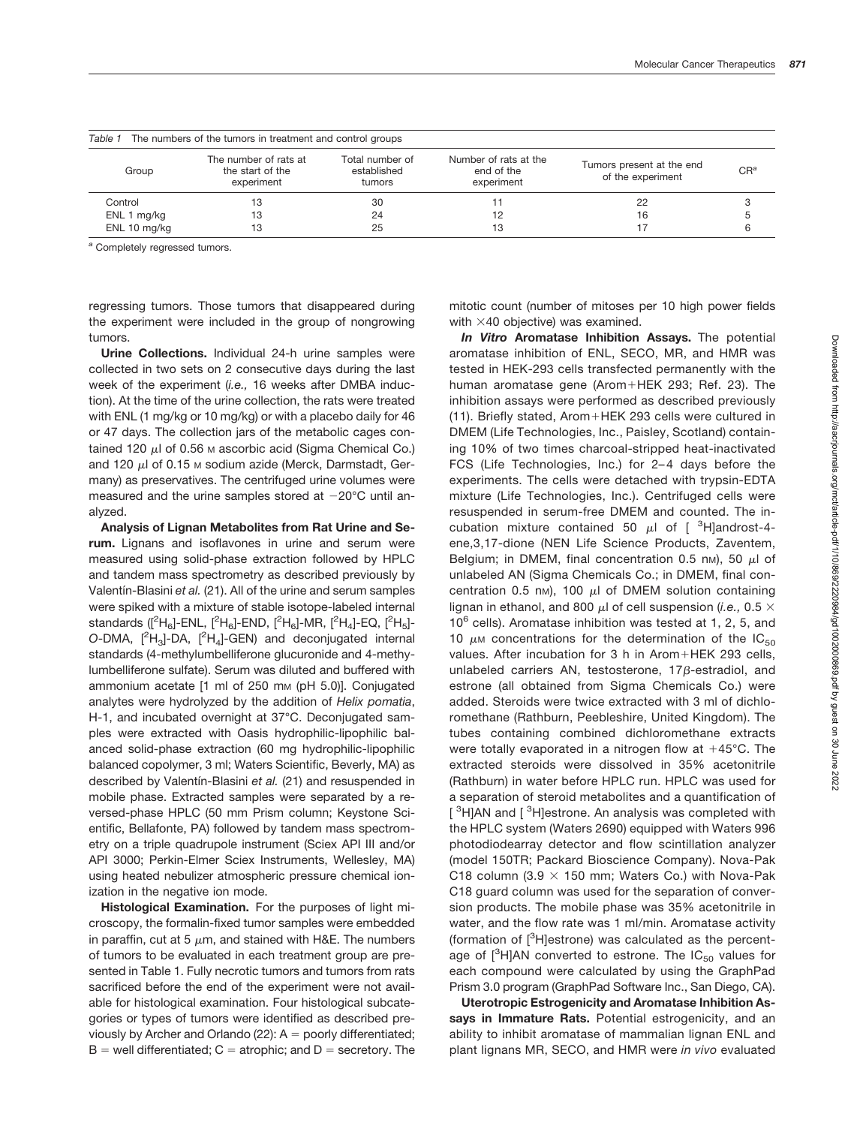| The numbers of the tumors in treatment and control groups<br>Table 1 |                                                         |                                          |                                                   |                                                |        |  |  |  |
|----------------------------------------------------------------------|---------------------------------------------------------|------------------------------------------|---------------------------------------------------|------------------------------------------------|--------|--|--|--|
| Group                                                                | The number of rats at<br>the start of the<br>experiment | Total number of<br>established<br>tumors | Number of rats at the<br>end of the<br>experiment | Tumors present at the end<br>of the experiment | $CR^a$ |  |  |  |
| Control                                                              | 13                                                      | 30                                       |                                                   | 22                                             |        |  |  |  |
| ENL 1 mg/kg                                                          | 13                                                      | 24                                       |                                                   | 16                                             |        |  |  |  |
| ENL 10 mg/kg                                                         | 13                                                      | 25                                       | 13                                                |                                                |        |  |  |  |

|  |  |  |  | <i>I able 1</i> Ine numbers of the tumors in treatment and control great |  |  |
|--|--|--|--|--------------------------------------------------------------------------|--|--|
|  |  |  |  |                                                                          |  |  |

*<sup>a</sup>* Completely regressed tumors.

regressing tumors. Those tumors that disappeared during the experiment were included in the group of nongrowing tumors.

**Urine Collections.** Individual 24-h urine samples were collected in two sets on 2 consecutive days during the last week of the experiment (*i.e.,* 16 weeks after DMBA induction). At the time of the urine collection, the rats were treated with ENL (1 mg/kg or 10 mg/kg) or with a placebo daily for 46 or 47 days. The collection jars of the metabolic cages contained 120  $\mu$ l of 0.56 M ascorbic acid (Sigma Chemical Co.) and 120  $\mu$ l of 0.15 M sodium azide (Merck, Darmstadt, Germany) as preservatives. The centrifuged urine volumes were measured and the urine samples stored at  $-20^{\circ}$ C until analyzed.

**Analysis of Lignan Metabolites from Rat Urine and Serum.** Lignans and isoflavones in urine and serum were measured using solid-phase extraction followed by HPLC and tandem mass spectrometry as described previously by Valentín-Blasini et al. (21). All of the urine and serum samples were spiked with a mixture of stable isotope-labeled internal standards ([<sup>2</sup>H<sub>6</sub>]-ENL, [<sup>2</sup>H<sub>6</sub>]-END, [<sup>2</sup>H<sub>6</sub>]-MR, [<sup>2</sup>H<sub>4</sub>]-EQ, [<sup>2</sup>H<sub>5</sub>]-O-DMA,  $[^{2}H_{3}]$ -DA,  $[^{2}H_{4}]$ -GEN) and deconjugated internal standards (4-methylumbelliferone glucuronide and 4-methylumbelliferone sulfate). Serum was diluted and buffered with ammonium acetate [1 ml of 250 mm (pH 5.0)]. Conjugated analytes were hydrolyzed by the addition of *Helix pomatia*, H-1, and incubated overnight at 37°C. Deconjugated samples were extracted with Oasis hydrophilic-lipophilic balanced solid-phase extraction (60 mg hydrophilic-lipophilic balanced copolymer, 3 ml; Waters Scientific, Beverly, MA) as described by Valentín-Blasini et al. (21) and resuspended in mobile phase. Extracted samples were separated by a reversed-phase HPLC (50 mm Prism column; Keystone Scientific, Bellafonte, PA) followed by tandem mass spectrometry on a triple quadrupole instrument (Sciex API III and/or API 3000; Perkin-Elmer Sciex Instruments, Wellesley, MA) using heated nebulizer atmospheric pressure chemical ionization in the negative ion mode.

**Histological Examination.** For the purposes of light microscopy, the formalin-fixed tumor samples were embedded in paraffin, cut at 5  $\mu$ m, and stained with H&E. The numbers of tumors to be evaluated in each treatment group are presented in Table 1. Fully necrotic tumors and tumors from rats sacrificed before the end of the experiment were not available for histological examination. Four histological subcategories or types of tumors were identified as described previously by Archer and Orlando (22):  $A =$  poorly differentiated;  $B =$  well differentiated;  $C =$  atrophic; and  $D =$  secretory. The

mitotic count (number of mitoses per 10 high power fields with  $\times$ 40 objective) was examined.

*In Vitro* **Aromatase Inhibition Assays.** The potential aromatase inhibition of ENL, SECO, MR, and HMR was tested in HEK-293 cells transfected permanently with the human aromatase gene (Arom+HEK 293; Ref. 23). The inhibition assays were performed as described previously  $(11)$ . Briefly stated, Arom + HEK 293 cells were cultured in DMEM (Life Technologies, Inc., Paisley, Scotland) containing 10% of two times charcoal-stripped heat-inactivated FCS (Life Technologies, Inc.) for 2–4 days before the experiments. The cells were detached with trypsin-EDTA mixture (Life Technologies, Inc.). Centrifuged cells were resuspended in serum-free DMEM and counted. The incubation mixture contained 50  $\mu$ l of [ <sup>3</sup>H]androst-4ene,3,17-dione (NEN Life Science Products, Zaventem, Belgium; in DMEM, final concentration 0.5 nm), 50  $\mu$  of unlabeled AN (Sigma Chemicals Co.; in DMEM, final concentration 0.5 nm), 100  $\mu$ l of DMEM solution containing lignan in ethanol, and 800  $\mu$ l of cell suspension (*i.e.*, 0.5  $\times$  $10^6$  cells). Aromatase inhibition was tested at 1, 2, 5, and 10  $\mu$ M concentrations for the determination of the IC<sub>50</sub> values. After incubation for 3 h in Arom+HEK 293 cells, unlabeled carriers AN, testosterone,  $17\beta$ -estradiol, and estrone (all obtained from Sigma Chemicals Co.) were added. Steroids were twice extracted with 3 ml of dichloromethane (Rathburn, Peebleshire, United Kingdom). The tubes containing combined dichloromethane extracts were totally evaporated in a nitrogen flow at  $+45^{\circ}$ C. The extracted steroids were dissolved in 35% acetonitrile (Rathburn) in water before HPLC run. HPLC was used for a separation of steroid metabolites and a quantification of [<sup>3</sup>H]AN and [<sup>3</sup>H]estrone. An analysis was completed with the HPLC system (Waters 2690) equipped with Waters 996 photodiodearray detector and flow scintillation analyzer (model 150TR; Packard Bioscience Company). Nova-Pak C18 column (3.9  $\times$  150 mm; Waters Co.) with Nova-Pak C18 guard column was used for the separation of conversion products. The mobile phase was 35% acetonitrile in water, and the flow rate was 1 ml/min. Aromatase activity (formation of [<sup>3</sup>H]estrone) was calculated as the percentage of [ $^3$ H]AN converted to estrone. The IC<sub>50</sub> values for each compound were calculated by using the GraphPad Prism 3.0 program (GraphPad Software Inc., San Diego, CA).

**Uterotropic Estrogenicity and Aromatase Inhibition As**says in Immature Rats. Potential estrogenicity, and an ability to inhibit aromatase of mammalian lignan ENL and plant lignans MR, SECO, and HMR were *in vivo* evaluated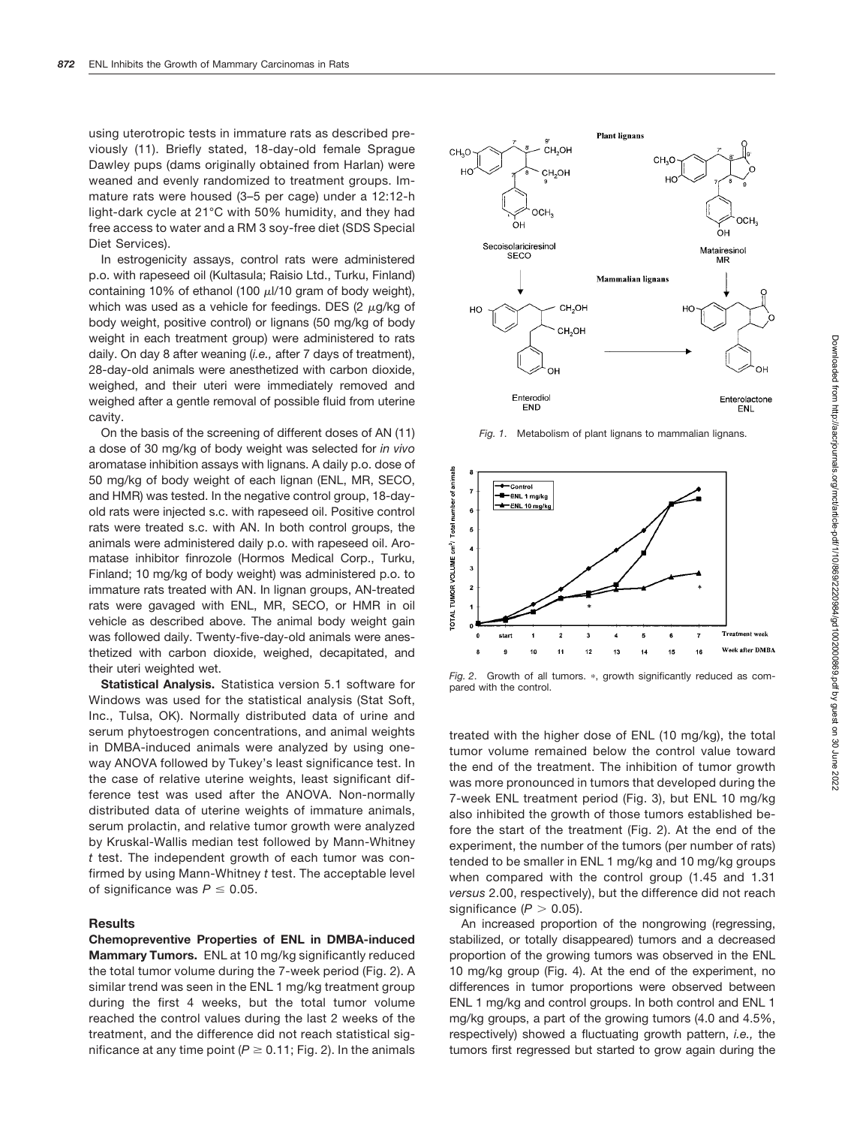using uterotropic tests in immature rats as described previously (11). Briefly stated, 18-day-old female Sprague Dawley pups (dams originally obtained from Harlan) were weaned and evenly randomized to treatment groups. Immature rats were housed (3–5 per cage) under a 12:12-h light-dark cycle at 21°C with 50% humidity, and they had free access to water and a RM 3 soy-free diet (SDS Special Diet Services).

In estrogenicity assays, control rats were administered p.o. with rapeseed oil (Kultasula; Raisio Ltd., Turku, Finland) containing 10% of ethanol (100  $\mu$ I/10 gram of body weight), which was used as a vehicle for feedings. DES (2  $\mu$ g/kg of body weight, positive control) or lignans (50 mg/kg of body weight in each treatment group) were administered to rats daily. On day 8 after weaning (*i.e.,* after 7 days of treatment), 28-day-old animals were anesthetized with carbon dioxide, weighed, and their uteri were immediately removed and weighed after a gentle removal of possible fluid from uterine cavity.

On the basis of the screening of different doses of AN (11) a dose of 30 mg/kg of body weight was selected for *in vivo* aromatase inhibition assays with lignans. A daily p.o. dose of 50 mg/kg of body weight of each lignan (ENL, MR, SECO, and HMR) was tested. In the negative control group, 18-dayold rats were injected s.c. with rapeseed oil. Positive control rats were treated s.c. with AN. In both control groups, the animals were administered daily p.o. with rapeseed oil. Aromatase inhibitor finrozole (Hormos Medical Corp., Turku, Finland; 10 mg/kg of body weight) was administered p.o. to immature rats treated with AN. In lignan groups, AN-treated rats were gavaged with ENL, MR, SECO, or HMR in oil vehicle as described above. The animal body weight gain was followed daily. Twenty-five-day-old animals were anesthetized with carbon dioxide, weighed, decapitated, and their uteri weighted wet.

**Statistical Analysis.** Statistica version 5.1 software for Windows was used for the statistical analysis (Stat Soft, Inc., Tulsa, OK). Normally distributed data of urine and serum phytoestrogen concentrations, and animal weights in DMBA-induced animals were analyzed by using oneway ANOVA followed by Tukey's least significance test. In the case of relative uterine weights, least significant difference test was used after the ANOVA. Non-normally distributed data of uterine weights of immature animals, serum prolactin, and relative tumor growth were analyzed by Kruskal-Wallis median test followed by Mann-Whitney *t* test. The independent growth of each tumor was confirmed by using Mann-Whitney *t* test. The acceptable level of significance was  $P \leq 0.05$ .

#### **Results**

**Chemopreventive Properties of ENL in DMBA-induced Mammary Tumors.** ENL at 10 mg/kg significantly reduced the total tumor volume during the 7-week period (Fig. 2). A similar trend was seen in the ENL 1 mg/kg treatment group during the first 4 weeks, but the total tumor volume reached the control values during the last 2 weeks of the treatment, and the difference did not reach statistical significance at any time point ( $P \ge 0.11$ ; Fig. 2). In the animals



*Fig. 1*. Metabolism of plant lignans to mammalian lignans.



Fig. 2. Growth of all tumors. \*, growth significantly reduced as compared with the control.

treated with the higher dose of ENL (10 mg/kg), the total tumor volume remained below the control value toward the end of the treatment. The inhibition of tumor growth was more pronounced in tumors that developed during the 7-week ENL treatment period (Fig. 3), but ENL 10 mg/kg also inhibited the growth of those tumors established before the start of the treatment (Fig. 2). At the end of the experiment, the number of the tumors (per number of rats) tended to be smaller in ENL 1 mg/kg and 10 mg/kg groups when compared with the control group (1.45 and 1.31 *versus* 2.00, respectively), but the difference did not reach significance  $(P > 0.05)$ .

An increased proportion of the nongrowing (regressing, stabilized, or totally disappeared) tumors and a decreased proportion of the growing tumors was observed in the ENL 10 mg/kg group (Fig. 4). At the end of the experiment, no differences in tumor proportions were observed between ENL 1 mg/kg and control groups. In both control and ENL 1 mg/kg groups, a part of the growing tumors (4.0 and 4.5%, respectively) showed a fluctuating growth pattern, *i.e.,* the tumors first regressed but started to grow again during the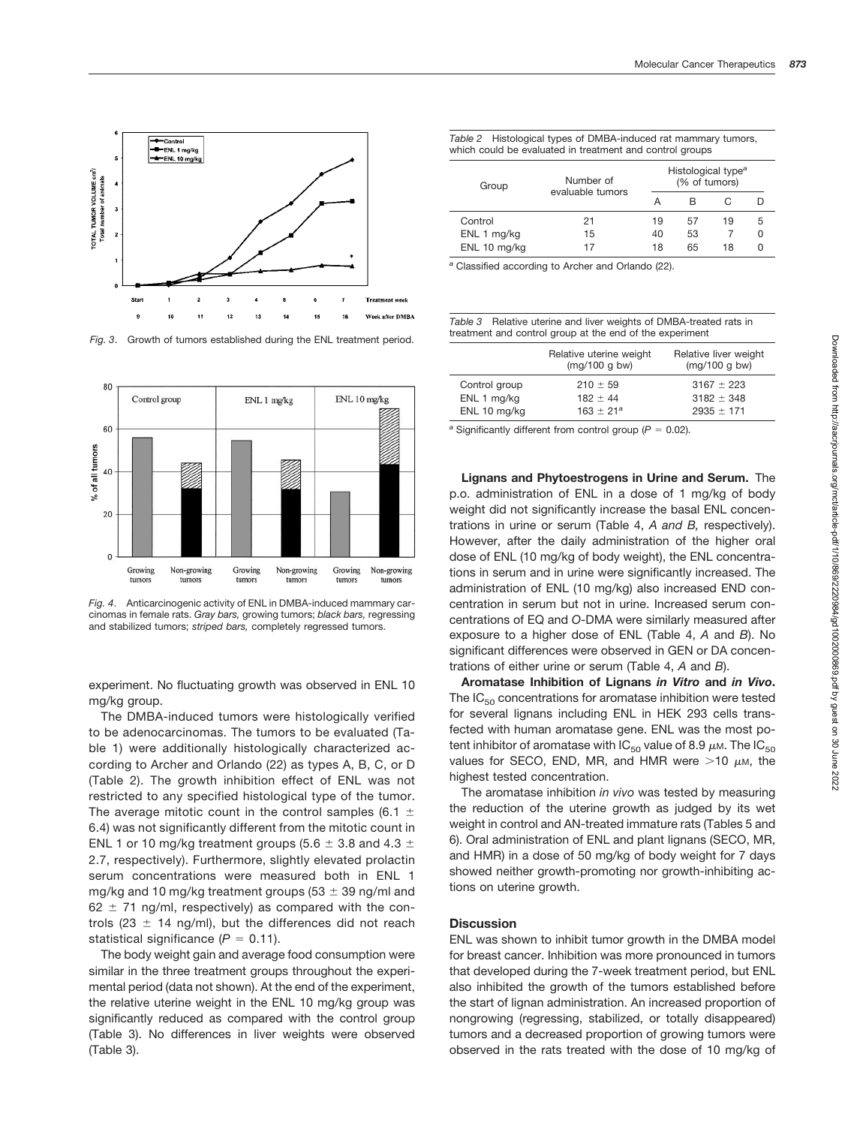

*Fig. 3*. Growth of tumors established during the ENL treatment period.



*Fig. 4*. Anticarcinogenic activity of ENL in DMBA-induced mammary carcinomas in female rats. *Gray bars,* growing tumors; *black bars,* regressing and stabilized tumors; *striped bars,* completely regressed tumors.

experiment. No fluctuating growth was observed in ENL 10 mg/kg group.

The DMBA-induced tumors were histologically verified to be adenocarcinomas. The tumors to be evaluated (Table 1) were additionally histologically characterized according to Archer and Orlando (22) as types A, B, C, or D (Table 2). The growth inhibition effect of ENL was not restricted to any specified histological type of the tumor. The average mitotic count in the control samples (6.1  $\pm$ 6.4) was not significantly different from the mitotic count in ENL 1 or 10 mg/kg treatment groups (5.6  $\pm$  3.8 and 4.3  $\pm$ 2.7, respectively). Furthermore, slightly elevated prolactin serum concentrations were measured both in ENL 1 mg/kg and 10 mg/kg treatment groups (53  $\pm$  39 ng/ml and  $62 \pm 71$  ng/ml, respectively) as compared with the controls (23  $\pm$  14 ng/ml), but the differences did not reach statistical significance  $(P = 0.11)$ .

The body weight gain and average food consumption were similar in the three treatment groups throughout the experimental period (data not shown). At the end of the experiment, the relative uterine weight in the ENL 10 mg/kg group was significantly reduced as compared with the control group (Table 3). No differences in liver weights were observed (Table 3).

| Table 2 Histological types of DMBA-induced rat mammary tumors, |  |
|----------------------------------------------------------------|--|
| which could be evaluated in treatment and control groups       |  |

| Group        | Number of<br>evaluable tumors |    | Histological type <sup>a</sup><br>(% of tumors) |    |   |  |  |  |
|--------------|-------------------------------|----|-------------------------------------------------|----|---|--|--|--|
|              |                               |    | в                                               |    |   |  |  |  |
| Control      | 21                            | 19 | 57                                              | 19 | 5 |  |  |  |
| ENL 1 mg/kg  | 15                            | 40 | 53                                              |    | 0 |  |  |  |
| ENL 10 mg/kg | 17                            | 18 | 65                                              | 18 |   |  |  |  |

*<sup>a</sup>* Classified according to Archer and Orlando (22).

*Table 3* Relative uterine and liver weights of DMBA-treated rats in treatment and control group at the end of the experiment

|               | Relative uterine weight<br>(mq/100 q bw) | Relative liver weight<br>(mq/100 q bw) |
|---------------|------------------------------------------|----------------------------------------|
| Control group | $210 \pm 59$                             | $3167 \pm 223$                         |
| ENL 1 mg/kg   | $182 \pm 44$                             | $3182 \pm 348$                         |
| ENL 10 mg/kg  | $163 + 21^a$                             | $2935 \pm 171$                         |

 $a$  Significantly different from control group ( $P = 0.02$ ).

**Lignans and Phytoestrogens in Urine and Serum.** The p.o. administration of ENL in a dose of 1 mg/kg of body weight did not significantly increase the basal ENL concentrations in urine or serum (Table 4, *A and B,* respectively). However, after the daily administration of the higher oral dose of ENL (10 mg/kg of body weight), the ENL concentrations in serum and in urine were significantly increased. The administration of ENL (10 mg/kg) also increased END concentration in serum but not in urine. Increased serum concentrations of EQ and *O*-DMA were similarly measured after exposure to a higher dose of ENL (Table 4, *A* and *B*). No significant differences were observed in GEN or DA concentrations of either urine or serum (Table 4, *A* and *B*).

**Aromatase Inhibition of Lignans** *in Vitro* **and** *in Vivo***.** The  $IC_{50}$  concentrations for aromatase inhibition were tested for several lignans including ENL in HEK 293 cells transfected with human aromatase gene. ENL was the most potent inhibitor of aromatase with  $IC_{50}$  value of 8.9  $\mu$ m. The  $IC_{50}$ values for SECO, END, MR, and HMR were  $>10 \mu$ M, the highest tested concentration.

The aromatase inhibition *in vivo* was tested by measuring the reduction of the uterine growth as judged by its wet weight in control and AN-treated immature rats (Tables 5 and 6). Oral administration of ENL and plant lignans (SECO, MR, and HMR) in a dose of 50 mg/kg of body weight for 7 days showed neither growth-promoting nor growth-inhibiting actions on uterine growth.

### **Discussion**

ENL was shown to inhibit tumor growth in the DMBA model for breast cancer. Inhibition was more pronounced in tumors that developed during the 7-week treatment period, but ENL also inhibited the growth of the tumors established before the start of lignan administration. An increased proportion of nongrowing (regressing, stabilized, or totally disappeared) tumors and a decreased proportion of growing tumors were observed in the rats treated with the dose of 10 mg/kg of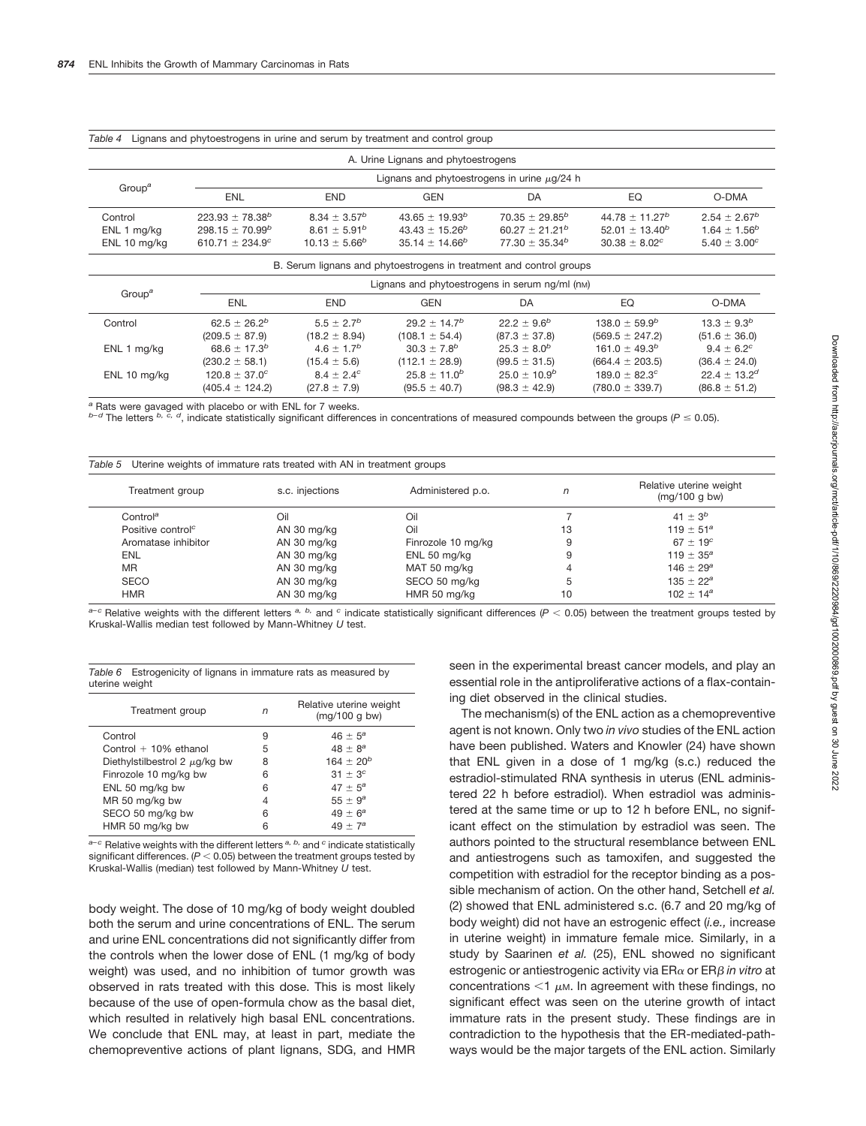| Table 4                                | Lighans and phytoestrogens in unne and serum by treatment and control group |                                                                  |                                                                   |                                                                   |                                                                  |                                                                     |  |  |  |
|----------------------------------------|-----------------------------------------------------------------------------|------------------------------------------------------------------|-------------------------------------------------------------------|-------------------------------------------------------------------|------------------------------------------------------------------|---------------------------------------------------------------------|--|--|--|
| A. Urine Lignans and phytoestrogens    |                                                                             |                                                                  |                                                                   |                                                                   |                                                                  |                                                                     |  |  |  |
| Group <sup>a</sup>                     | Lignans and phytoestrogens in urine $\mu$ g/24 h                            |                                                                  |                                                                   |                                                                   |                                                                  |                                                                     |  |  |  |
|                                        | ENL                                                                         | <b>END</b>                                                       | GEN                                                               | DA                                                                | EQ                                                               | O-DMA                                                               |  |  |  |
| Control<br>ENL 1 mg/kg<br>ENL 10 mg/kg | $223.93 \pm 78.38^b$<br>$298.15 \pm 70.99^b$<br>610.71 $\pm$ 234.9°         | $8.34 \pm 3.57^{b}$<br>$8.61 \pm 5.91^{b}$<br>$10.13 \pm 5.66^b$ | $43.65 \pm 19.93^b$<br>$43.43 \pm 15.26^b$<br>$35.14 \pm 14.66^b$ | $70.35 \pm 29.85^b$<br>$60.27 \pm 21.21^b$<br>$77.30 \pm 35.34^b$ | $44.78 \pm 11.27^b$<br>$52.01 \pm 13.40^b$<br>$30.38 \pm 8.02^c$ | $2.54 \pm 2.67^b$<br>$1.64 \pm 1.56^{b}$<br>$5.40 \pm 3.00^{\circ}$ |  |  |  |

|  |  | Table 4 Lignans and phytoestrogens in urine and serum by treatment and control group |  |  |  |
|--|--|--------------------------------------------------------------------------------------|--|--|--|
|--|--|--------------------------------------------------------------------------------------|--|--|--|

|                    | B. Serum lignans and phytoestrogens in treatment and control groups |                   |                     |                    |                             |                       |  |  |  |  |
|--------------------|---------------------------------------------------------------------|-------------------|---------------------|--------------------|-----------------------------|-----------------------|--|--|--|--|
| Group <sup>a</sup> | Lignans and phytoestrogens in serum ng/ml (nm)                      |                   |                     |                    |                             |                       |  |  |  |  |
|                    | ENL                                                                 | <b>END</b>        | <b>GEN</b>          | DA                 | EQ                          | O-DMA                 |  |  |  |  |
| Control            | $62.5 \pm 26.2^b$                                                   | $5.5 \pm 2.7^{b}$ | $29.2 \pm 14.7^b$   | $22.2 \pm 9.6^b$   | $138.0 \pm 59.9^b$          | $13.3 \pm 9.3^b$      |  |  |  |  |
|                    | $(209.5 \pm 87.9)$                                                  | $(18.2 \pm 8.94)$ | $(108.1 \pm 54.4)$  | $(87.3 \pm 37.8)$  | $(569.5 \pm 247.2)$         | $(51.6 \pm 36.0)$     |  |  |  |  |
| ENL 1 mg/kg        | 68.6 $\pm$ 17.3 <sup>b</sup>                                        | $4.6 \pm 1.7^{b}$ | $30.3 \pm 7.8^{b}$  | $25.3 \pm 8.0^{b}$ | $161.0 \pm 49.3^b$          | $9.4 \pm 6.2^{\circ}$ |  |  |  |  |
|                    | $(230.2 \pm 58.1)$                                                  | $(15.4 \pm 5.6)$  | $(112.1 \pm 28.9)$  | $(99.5 \pm 31.5)$  | $(664.4 \pm 203.5)$         | $(36.4 \pm 24.0)$     |  |  |  |  |
| ENL 10 mg/kg       | $120.8 \pm 37.0^{\circ}$                                            | $8.4 \pm 2.4^c$   | $25.8 \pm 11.0^{b}$ | $25.0 \pm 10.9^b$  | 189.0 $\pm$ 82.3 $^{\circ}$ | $22.4 \pm 13.2^d$     |  |  |  |  |
|                    | $(405.4 \pm 124.2)$                                                 | $(27.8 \pm 7.9)$  | $(95.5 \pm 40.7)$   | $(98.3 \pm 42.9)$  | $(780.0 \pm 339.7)$         | $(86.8 \pm 51.2)$     |  |  |  |  |

*<sup>a</sup>* Rats were gavaged with placebo or with ENL for 7 weeks.

*b*<sup>−d</sup> The letters <sup>*b, c, d*, indicate statistically significant differences in concentrations of measured compounds between the groups (*P* ≤ 0.05).</sup>

| Uterine weights of immature rats treated with AN in treatment groups<br>Table 5 |                 |                    |    |                                          |  |  |  |
|---------------------------------------------------------------------------------|-----------------|--------------------|----|------------------------------------------|--|--|--|
| Treatment group                                                                 | s.c. injections | Administered p.o.  | n  | Relative uterine weight<br>(mq/100 q bw) |  |  |  |
| Control <sup>a</sup>                                                            | Oil             | Oil                |    | 41 $\pm 3^{b}$                           |  |  |  |
| Positive control <sup>c</sup>                                                   | AN 30 mg/kg     | Oil                | 13 | 119 $\pm$ 51 <sup>a</sup>                |  |  |  |
| Aromatase inhibitor                                                             | AN 30 mg/kg     | Finrozole 10 mg/kg | 9  | $67 \pm 19^c$                            |  |  |  |
| <b>ENL</b>                                                                      | AN 30 mg/kg     | ENL 50 mg/kg       |    | $119 \pm 35^a$                           |  |  |  |
| <b>MR</b>                                                                       | AN 30 mg/kg     | MAT 50 mg/kg       |    | $146 \pm 29^a$                           |  |  |  |
| <b>SECO</b>                                                                     | AN 30 mg/kg     | SECO 50 mg/kg      | b  | $135 \pm 22^a$                           |  |  |  |
| <b>HMR</b>                                                                      | AN 30 mg/kg     | HMR 50 mg/kg       | 10 | $102 \pm 14^a$                           |  |  |  |

*a*-c Relative weights with the different letters <sup>*a, b,*</sup> and <sup>c</sup> indicate statistically significant differences (*P* < 0.05) between the treatment groups tested by Kruskal-Wallis median test followed by Mann-Whitney *U* test.

|                | Table 6 Estrogenicity of lignans in immature rats as measured by |  |  |  |  |
|----------------|------------------------------------------------------------------|--|--|--|--|
| uterine weight |                                                                  |  |  |  |  |

| Treatment group                    | n | Relative uterine weight<br>(mq/100 q bw) |
|------------------------------------|---|------------------------------------------|
| Control                            | 9 | $46 \pm 5^a$                             |
| Control $+10%$ ethanol             | 5 | $48 \pm 8^a$                             |
| Diethylstilbestrol 2 $\mu$ g/kg bw | 8 | $164 + 20^b$                             |
| Finrozole 10 mg/kg bw              | 6 | $31 \pm 3^{c}$                           |
| ENL 50 mg/kg bw                    | 6 | $47 \pm 5^a$                             |
| MR 50 mg/kg bw                     | 4 | $55 \pm 9^a$                             |
| SECO 50 mg/kg bw                   | 6 | $49 \pm 6^a$                             |
| HMR 50 mg/kg bw                    | 6 | $49 + 7^a$                               |

*a–c* Relative weights with the different letters *a, b,* and *<sup>c</sup>* indicate statistically significant differences.  $(P < 0.05)$  between the treatment groups tested by Kruskal-Wallis (median) test followed by Mann-Whitney *U* test.

body weight. The dose of 10 mg/kg of body weight doubled both the serum and urine concentrations of ENL. The serum and urine ENL concentrations did not significantly differ from the controls when the lower dose of ENL (1 mg/kg of body weight) was used, and no inhibition of tumor growth was observed in rats treated with this dose. This is most likely because of the use of open-formula chow as the basal diet, which resulted in relatively high basal ENL concentrations. We conclude that ENL may, at least in part, mediate the chemopreventive actions of plant lignans, SDG, and HMR

seen in the experimental breast cancer models, and play an essential role in the antiproliferative actions of a flax-containing diet observed in the clinical studies.

The mechanism(s) of the ENL action as a chemopreventive agent is not known. Only two *in vivo* studies of the ENL action have been published. Waters and Knowler (24) have shown that ENL given in a dose of 1 mg/kg (s.c.) reduced the estradiol-stimulated RNA synthesis in uterus (ENL administered 22 h before estradiol). When estradiol was administered at the same time or up to 12 h before ENL, no significant effect on the stimulation by estradiol was seen. The authors pointed to the structural resemblance between ENL and antiestrogens such as tamoxifen, and suggested the competition with estradiol for the receptor binding as a possible mechanism of action. On the other hand, Setchell *et al.* (2) showed that ENL administered s.c. (6.7 and 20 mg/kg of body weight) did not have an estrogenic effect (*i.e.,* increase in uterine weight) in immature female mice. Similarly, in a study by Saarinen *et al.* (25), ENL showed no significant estrogenic or antiestrogenic activity via ERα or ERβ in vitro at concentrations  $<$ 1  $\mu$ m. In agreement with these findings, no significant effect was seen on the uterine growth of intact immature rats in the present study. These findings are in contradiction to the hypothesis that the ER-mediated-pathways would be the major targets of the ENL action. Similarly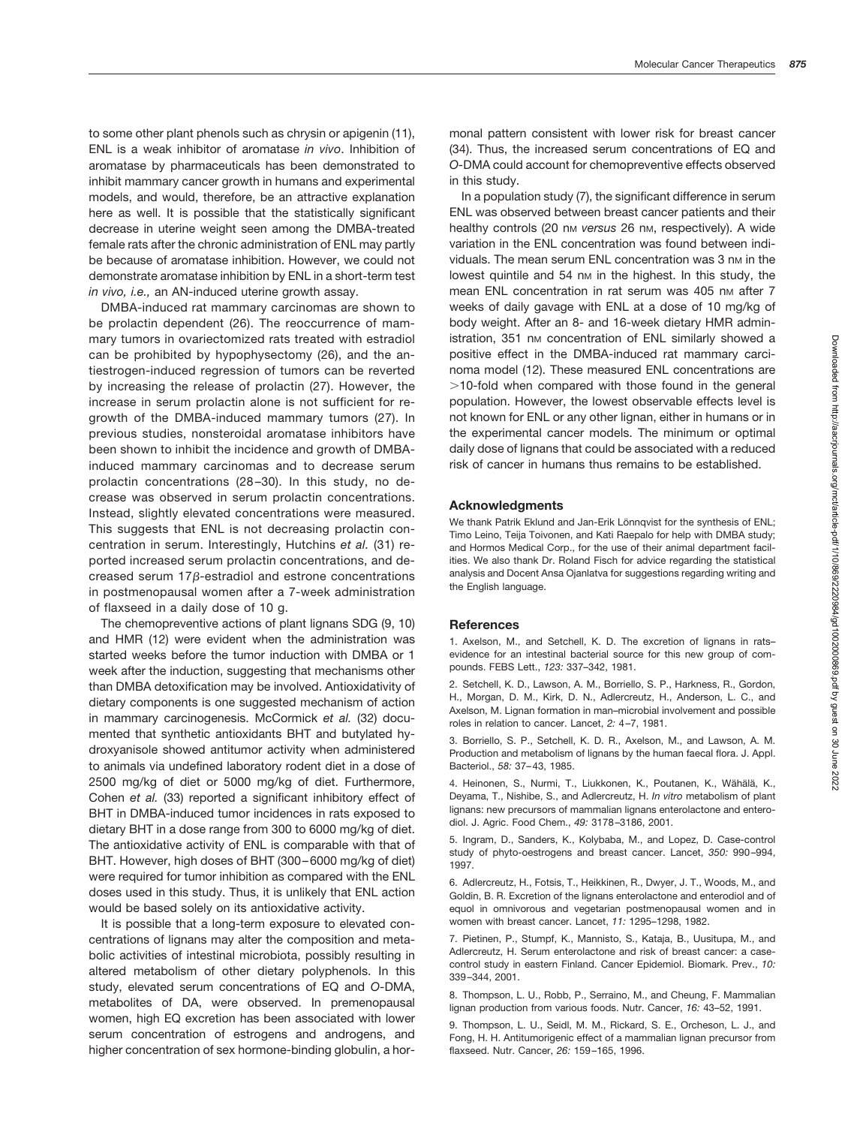to some other plant phenols such as chrysin or apigenin (11), ENL is a weak inhibitor of aromatase *in vivo*. Inhibition of aromatase by pharmaceuticals has been demonstrated to inhibit mammary cancer growth in humans and experimental models, and would, therefore, be an attractive explanation here as well. It is possible that the statistically significant decrease in uterine weight seen among the DMBA-treated female rats after the chronic administration of ENL may partly be because of aromatase inhibition. However, we could not demonstrate aromatase inhibition by ENL in a short-term test *in vivo, i.e.,* an AN-induced uterine growth assay.

DMBA-induced rat mammary carcinomas are shown to be prolactin dependent (26). The reoccurrence of mammary tumors in ovariectomized rats treated with estradiol can be prohibited by hypophysectomy (26), and the antiestrogen-induced regression of tumors can be reverted by increasing the release of prolactin (27). However, the increase in serum prolactin alone is not sufficient for regrowth of the DMBA-induced mammary tumors (27). In previous studies, nonsteroidal aromatase inhibitors have been shown to inhibit the incidence and growth of DMBAinduced mammary carcinomas and to decrease serum prolactin concentrations (28 –30). In this study, no decrease was observed in serum prolactin concentrations. Instead, slightly elevated concentrations were measured. This suggests that ENL is not decreasing prolactin concentration in serum. Interestingly, Hutchins *et al.* (31) reported increased serum prolactin concentrations, and decreased serum  $17\beta$ -estradiol and estrone concentrations in postmenopausal women after a 7-week administration of flaxseed in a daily dose of 10 g.

The chemopreventive actions of plant lignans SDG (9, 10) and HMR (12) were evident when the administration was started weeks before the tumor induction with DMBA or 1 week after the induction, suggesting that mechanisms other than DMBA detoxification may be involved. Antioxidativity of dietary components is one suggested mechanism of action in mammary carcinogenesis. McCormick *et al.* (32) documented that synthetic antioxidants BHT and butylated hydroxyanisole showed antitumor activity when administered to animals via undefined laboratory rodent diet in a dose of 2500 mg/kg of diet or 5000 mg/kg of diet. Furthermore, Cohen *et al.* (33) reported a significant inhibitory effect of BHT in DMBA-induced tumor incidences in rats exposed to dietary BHT in a dose range from 300 to 6000 mg/kg of diet. The antioxidative activity of ENL is comparable with that of BHT. However, high doses of BHT (300–6000 mg/kg of diet) were required for tumor inhibition as compared with the ENL doses used in this study. Thus, it is unlikely that ENL action would be based solely on its antioxidative activity.

It is possible that a long-term exposure to elevated concentrations of lignans may alter the composition and metabolic activities of intestinal microbiota, possibly resulting in altered metabolism of other dietary polyphenols. In this study, elevated serum concentrations of EQ and *O*-DMA, metabolites of DA, were observed. In premenopausal women, high EQ excretion has been associated with lower serum concentration of estrogens and androgens, and higher concentration of sex hormone-binding globulin, a hormonal pattern consistent with lower risk for breast cancer (34). Thus, the increased serum concentrations of EQ and *O-*DMA could account for chemopreventive effects observed in this study.

In a population study (7), the significant difference in serum ENL was observed between breast cancer patients and their healthy controls (20 nm versus 26 nm, respectively). A wide variation in the ENL concentration was found between individuals. The mean serum ENL concentration was 3 nm in the lowest quintile and 54 nm in the highest. In this study, the mean ENL concentration in rat serum was 405 nm after 7 weeks of daily gavage with ENL at a dose of 10 mg/kg of body weight. After an 8- and 16-week dietary HMR administration, 351 nm concentration of ENL similarly showed a positive effect in the DMBA-induced rat mammary carcinoma model (12). These measured ENL concentrations are  $>$ 10-fold when compared with those found in the general population. However, the lowest observable effects level is not known for ENL or any other lignan, either in humans or in the experimental cancer models. The minimum or optimal daily dose of lignans that could be associated with a reduced risk of cancer in humans thus remains to be established.

#### **Acknowledgments**

We thank Patrik Eklund and Jan-Erik Lönnqvist for the synthesis of ENL; Timo Leino, Teija Toivonen, and Kati Raepalo for help with DMBA study; and Hormos Medical Corp., for the use of their animal department facilities. We also thank Dr. Roland Fisch for advice regarding the statistical analysis and Docent Ansa Ojanlatva for suggestions regarding writing and the English language.

#### **References**

1. Axelson, M., and Setchell, K. D. The excretion of lignans in rats– evidence for an intestinal bacterial source for this new group of compounds. FEBS Lett., *123:* 337–342, 1981.

2. Setchell, K. D., Lawson, A. M., Borriello, S. P., Harkness, R., Gordon, H., Morgan, D. M., Kirk, D. N., Adlercreutz, H., Anderson, L. C., and Axelson, M. Lignan formation in man–microbial involvement and possible roles in relation to cancer. Lancet, *2:* 4–7, 1981.

3. Borriello, S. P., Setchell, K. D. R., Axelson, M., and Lawson, A. M. Production and metabolism of lignans by the human faecal flora. J. Appl. Bacteriol., *58:* 37–43, 1985.

4. Heinonen, S., Nurmi, T., Liukkonen, K., Poutanen, K., Wähälä, K., Deyama, T., Nishibe, S., and Adlercreutz, H. *In vitro* metabolism of plant lignans: new precursors of mammalian lignans enterolactone and enterodiol. J. Agric. Food Chem., *49:* 3178–3186, 2001.

5. Ingram, D., Sanders, K., Kolybaba, M., and Lopez, D. Case-control study of phyto-oestrogens and breast cancer. Lancet, *350:* 990–994, 1997.

6. Adlercreutz, H., Fotsis, T., Heikkinen, R., Dwyer, J. T., Woods, M., and Goldin, B. R. Excretion of the lignans enterolactone and enterodiol and of equol in omnivorous and vegetarian postmenopausal women and in women with breast cancer. Lancet, *11:* 1295–1298, 1982.

7. Pietinen, P., Stumpf, K., Mannisto, S., Kataja, B., Uusitupa, M., and Adlercreutz, H. Serum enterolactone and risk of breast cancer: a casecontrol study in eastern Finland. Cancer Epidemiol. Biomark. Prev., *10:* 339–344, 2001.

8. Thompson, L. U., Robb, P., Serraino, M., and Cheung, F. Mammalian lignan production from various foods. Nutr. Cancer, *16:* 43–52, 1991.

9. Thompson, L. U., Seidl, M. M., Rickard, S. E., Orcheson, L. J., and Fong, H. H. Antitumorigenic effect of a mammalian lignan precursor from flaxseed. Nutr. Cancer, *26:* 159–165, 1996.